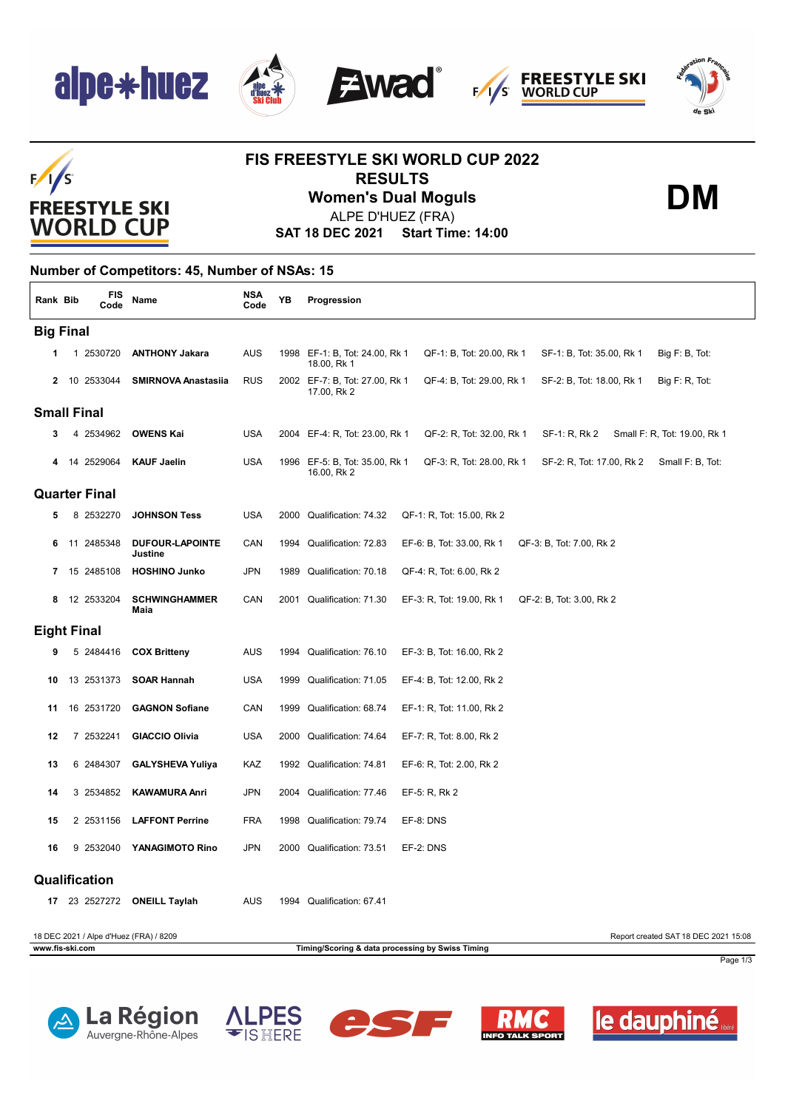







**FREESTYLE SKI**<br>WORLD CUP

**DM**

## $F/I/S$ **FREESTYLE SKI WORLD CUP**

### **FIS FREESTYLE SKI WORLD CUP 2022 RESULTS Women's Dual Moguls**

ALPE D'HUEZ (FRA)

**SAT 18 DEC 2021 Start Time: 14:00**

#### **Number of Competitors: 45, Number of NSAs: 15**

| Rank Bib           |                                                                                 | FIS<br>Code   | Name                                   | <b>NSA</b><br>Code | YB   | Progression                                                                                                                 |  |  |  |
|--------------------|---------------------------------------------------------------------------------|---------------|----------------------------------------|--------------------|------|-----------------------------------------------------------------------------------------------------------------------------|--|--|--|
| <b>Big Final</b>   |                                                                                 |               |                                        |                    |      |                                                                                                                             |  |  |  |
|                    |                                                                                 | 1 2530720     | <b>ANTHONY Jakara</b>                  | AUS                |      | QF-1: B, Tot: 20.00, Rk 1<br>1998 EF-1: B, Tot: 24.00, Rk 1<br>SF-1: B, Tot: 35.00, Rk 1<br>Big F: B, Tot:<br>18.00, Rk 1   |  |  |  |
| $\mathbf{2}$       |                                                                                 | 10 2533044    | <b>SMIRNOVA Anastasiia</b>             | <b>RUS</b>         |      | 2002 EF-7: B, Tot: 27.00, Rk 1<br>QF-4: B, Tot: 29.00, Rk 1<br>SF-2: B, Tot: 18.00, Rk 1<br>Big F: R, Tot:<br>17.00, Rk 2   |  |  |  |
| <b>Small Final</b> |                                                                                 |               |                                        |                    |      |                                                                                                                             |  |  |  |
| 3                  |                                                                                 | 4 2534962     | <b>OWENS Kai</b>                       | <b>USA</b>         |      | 2004 EF-4: R, Tot: 23.00, Rk 1<br>QF-2: R, Tot: 32.00, Rk 1<br>SF-1: R, Rk 2<br>Small F: R, Tot: 19.00, Rk 1                |  |  |  |
|                    |                                                                                 | 14 2529064    | <b>KAUF Jaelin</b>                     | <b>USA</b>         |      | 1996 EF-5: B, Tot: 35.00, Rk 1<br>QF-3: R, Tot: 28.00, Rk 1<br>SF-2: R, Tot: 17.00, Rk 2<br>Small F: B, Tot:<br>16.00, Rk 2 |  |  |  |
|                    | <b>Quarter Final</b>                                                            |               |                                        |                    |      |                                                                                                                             |  |  |  |
|                    |                                                                                 | 8 2532270     | <b>JOHNSON Tess</b>                    | <b>USA</b>         |      | 2000 Qualification: 74.32<br>QF-1: R, Tot: 15.00, Rk 2                                                                      |  |  |  |
| 6                  | 11                                                                              | 2485348       | <b>DUFOUR-LAPOINTE</b><br>Justine      | CAN                | 1994 | Qualification: 72.83<br>EF-6: B, Tot: 33.00, Rk 1<br>QF-3: B, Tot: 7.00, Rk 2                                               |  |  |  |
| 7                  |                                                                                 | 15 2485108    | <b>HOSHINO Junko</b>                   | JPN                | 1989 | Qualification: 70.18<br>QF-4: R, Tot: 6.00, Rk 2                                                                            |  |  |  |
| 8                  |                                                                                 | 12 2533204    | <b>SCHWINGHAMMER</b><br>Maia           | CAN                |      | 2001 Qualification: 71.30<br>EF-3: R, Tot: 19.00, Rk 1<br>QF-2: B, Tot: 3.00, Rk 2                                          |  |  |  |
| <b>Eight Final</b> |                                                                                 |               |                                        |                    |      |                                                                                                                             |  |  |  |
| 9                  |                                                                                 | 5 2484416     | <b>COX Britteny</b>                    | AUS                | 1994 | Qualification: 76.10<br>EF-3: B, Tot: 16.00, Rk 2                                                                           |  |  |  |
| 10                 |                                                                                 | 13 2531373    | <b>SOAR Hannah</b>                     | <b>USA</b>         |      | 1999 Qualification: 71.05<br>EF-4: B, Tot: 12.00, Rk 2                                                                      |  |  |  |
| 11                 |                                                                                 | 16 2531720    | <b>GAGNON Sofiane</b>                  | CAN                |      | 1999 Qualification: 68.74<br>EF-1: R, Tot: 11.00, Rk 2                                                                      |  |  |  |
| 12                 |                                                                                 | 7 2532241     | <b>GIACCIO Olivia</b>                  | <b>USA</b>         | 2000 | Qualification: 74.64<br>EF-7: R, Tot: 8.00, Rk 2                                                                            |  |  |  |
| 13                 |                                                                                 | 6 2484307     | <b>GALYSHEVA Yuliya</b>                | KAZ                |      | 1992 Qualification: 74.81<br>EF-6: R, Tot: 2.00, Rk 2                                                                       |  |  |  |
| 14                 |                                                                                 | 3 2534852     | <b>KAWAMURA Anri</b>                   | <b>JPN</b>         | 2004 | Qualification: 77.46<br>EF-5: R, Rk 2                                                                                       |  |  |  |
| 15                 |                                                                                 | 2 2531156     | <b>LAFFONT Perrine</b>                 | <b>FRA</b>         | 1998 | Qualification: 79.74<br>EF-8: DNS                                                                                           |  |  |  |
| 16                 | 9                                                                               | 2532040       | YANAGIMOTO Rino                        | <b>JPN</b>         |      | 2000 Qualification: 73.51<br>EF-2: DNS                                                                                      |  |  |  |
|                    |                                                                                 | Qualification |                                        |                    |      |                                                                                                                             |  |  |  |
| 17                 |                                                                                 |               | 23 2527272 ONEILL Taylah               | <b>AUS</b>         | 1994 | Qualification: 67.41                                                                                                        |  |  |  |
|                    |                                                                                 |               | 18 DEC 2021 / Alpe d'Huez (FRA) / 8209 |                    |      | Report created SAT 18 DEC 2021 15:08                                                                                        |  |  |  |
|                    | www.fis-ski.com<br>Timing/Scoring & data processing by Swiss Timing<br>Page 1/3 |               |                                        |                    |      |                                                                                                                             |  |  |  |









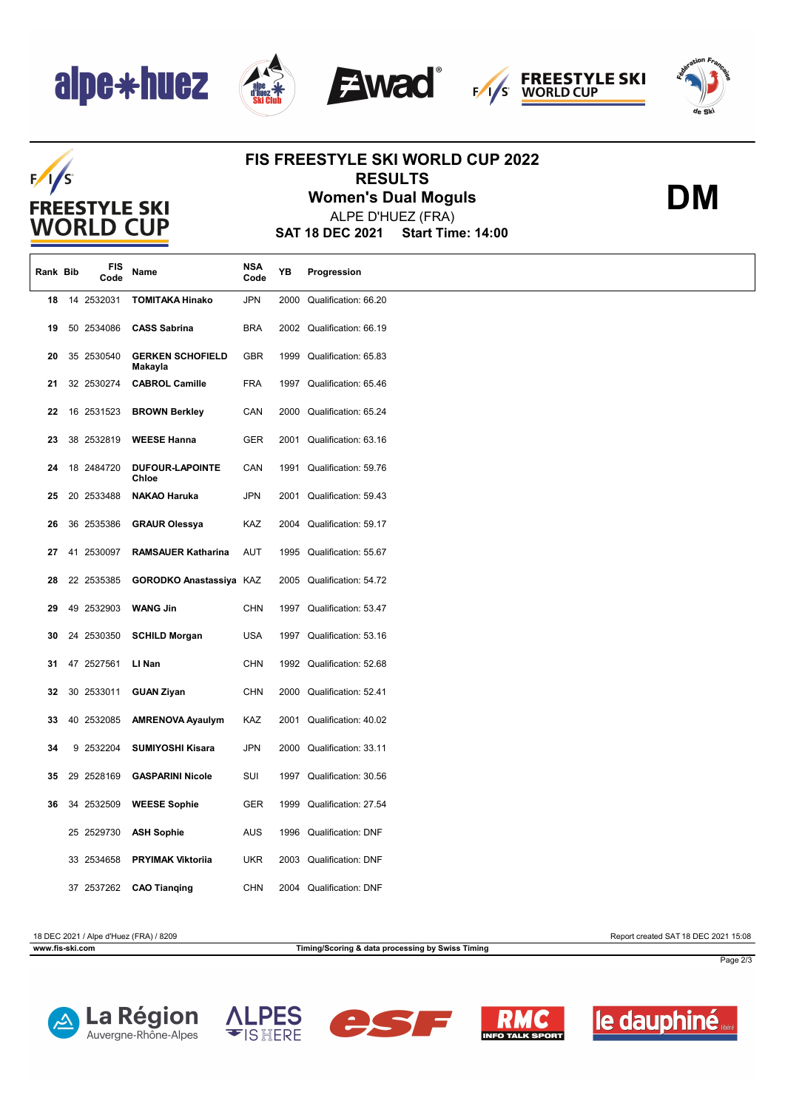# alpe\*huez









**DM**

## $F/I/S$ **FREESTYLE SKI WORLD CUP**

#### **FIS FREESTYLE SKI WORLD CUP 2022 RESULTS**

**Women's Dual Moguls**

**SAT 18 DEC 2021 Start Time: 14:00** ALPE D'HUEZ (FRA)

| Rank Bib | FIS<br>Code | Name                               | NSA<br>Code | YB   | Progression               |
|----------|-------------|------------------------------------|-------------|------|---------------------------|
| 18       | 14 2532031  | <b>TOMITAKA Hinako</b>             | JPN         | 2000 | Qualification: 66.20      |
| 19       | 50 2534086  | <b>CASS Sabrina</b>                | <b>BRA</b>  |      | 2002 Qualification: 66.19 |
| 20       | 35 2530540  | <b>GERKEN SCHOFIELD</b><br>Makayla | GBR         |      | 1999 Qualification: 65.83 |
| 21       | 32 2530274  | <b>CABROL Camille</b>              | <b>FRA</b>  |      | 1997 Qualification: 65.46 |
| 22       | 16 2531523  | <b>BROWN Berkley</b>               | CAN         |      | 2000 Qualification: 65.24 |
| 23       | 38 2532819  | <b>WEESE Hanna</b>                 | <b>GER</b>  |      | 2001 Qualification: 63.16 |
| 24       | 18 2484720  | <b>DUFOUR-LAPOINTE</b><br>Chloe    | CAN         | 1991 | Qualification: 59.76      |
| 25       | 20 2533488  | <b>NAKAO Haruka</b>                | <b>JPN</b>  | 2001 | Qualification: 59.43      |
| 26       | 36 2535386  | <b>GRAUR Olessya</b>               | KAZ         |      | 2004 Qualification: 59.17 |
| 27       | 41 2530097  | <b>RAMSAUER Katharina</b>          | <b>AUT</b>  |      | 1995 Qualification: 55.67 |
| 28       | 22 2535385  | <b>GORODKO Anastassiya KAZ</b>     |             | 2005 | Qualification: 54.72      |
| 29       | 49 2532903  | <b>WANG Jin</b>                    | <b>CHN</b>  | 1997 | Qualification: 53.47      |
| 30       | 24 2530350  | <b>SCHILD Morgan</b>               | <b>USA</b>  |      | 1997 Qualification: 53.16 |
| 31       | 47 2527561  | LI Nan                             | <b>CHN</b>  |      | 1992 Qualification: 52.68 |
| 32       | 30 2533011  | <b>GUAN Ziyan</b>                  | <b>CHN</b>  |      | 2000 Qualification: 52.41 |
| 33       | 40 2532085  | <b>AMRENOVA Ayaulym</b>            | KAZ         |      | 2001 Qualification: 40.02 |
| 34       | 9 2532204   | <b>SUMIYOSHI Kisara</b>            | JPN         |      | 2000 Qualification: 33.11 |
| 35       | 29 2528169  | <b>GASPARINI Nicole</b>            | SUI         | 1997 | Qualification: 30.56      |
| 36       | 34 2532509  | <b>WEESE Sophie</b>                | GER         | 1999 | Qualification: 27.54      |
|          | 25 2529730  | <b>ASH Sophie</b>                  | <b>AUS</b>  |      | 1996 Qualification: DNF   |
|          | 33 2534658  | <b>PRYIMAK Viktoriia</b>           | <b>UKR</b>  | 2003 | <b>Qualification: DNF</b> |
|          | 37 2537262  | <b>CAO Tianging</b>                | <b>CHN</b>  |      | 2004 Qualification: DNF   |

18 DEC 2021 / Alpe d'Huez (FRA) / 8209 Report created SAT 18 DEC 2021 15:08

**www.fis-ski.com Timing/Scoring & data processing by Swiss Timing**

Page 2/3